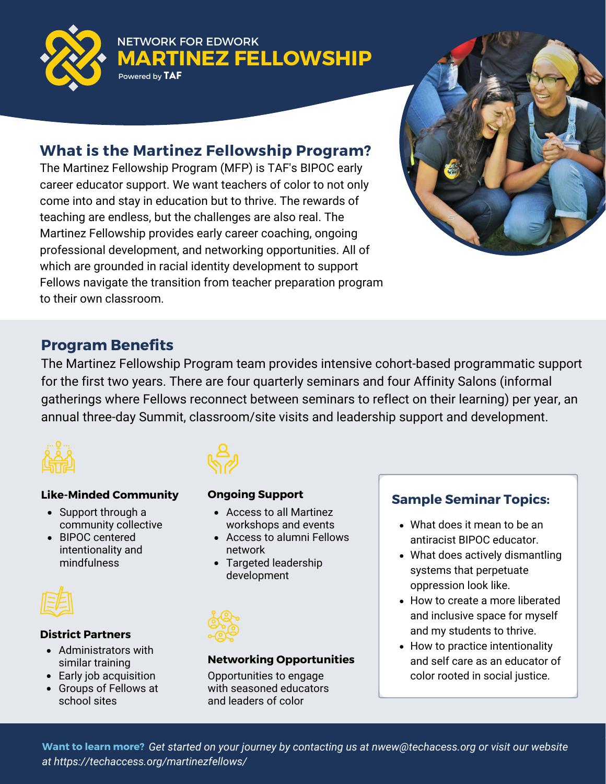<span id="page-0-0"></span>

NETWORK FOR EDWORK **MARTINEZ FELLOWSHIP** Powered by TAF

### **What is the Martinez Fellowship Program?**

The Martinez Fellowship Program (MFP) is TAF's BIPOC early career educator support. We want teachers of color to not only come into and stay in education but to thrive. The rewards of teaching are endless, but the challenges are also real. The Martinez Fellowship provides early career coaching, ongoing professional development, and networking opportunities. All of which are grounded in racial identity development to support Fellows navigate the transition from teacher preparation program to their own classroom.



### **Program Benefits**

The Martinez Fellowship Program team provides intensive cohort-based programmatic support for the first two years. There are four quarterly seminars and four Affinity Salons (informal gatherings where Fellows reconnect between seminars to reflect on their learning) per year, an annual three-day Summit, classroom/site visits and leadership support and development.



### **Like-Minded Community**

- Support through a community collective
- BIPOC centered intentionality and mindfulness



### **District Partners**

- Administrators with similar training
- Early job acquisition
- Groups of Fellows at school sites



#### **Ongoing Support**

- Access to all Martinez workshops and events
- Access to alumni Fellows network
- Targeted leadership development



### **Networking Opportunities**

Opportunities to engage with seasoned educators and leaders of color

### **Sample Seminar Topics:**

- What does it mean to be an antiracist BIPOC educator.
- What does actively dismantling systems that perpetuate oppression look like.
- How to create a more liberated and inclusive space for myself and my students to thrive.
- How to practice intentionality and self care as an educator of color rooted in social justice.

Want to learn more? Get started on your journey by contacting us at nwew@techacess.org or visit our website *Manager at saarak@techaccess.org or visit techaccess.org/martinez-fellows at https://techaccess.org/martinezfellows/*